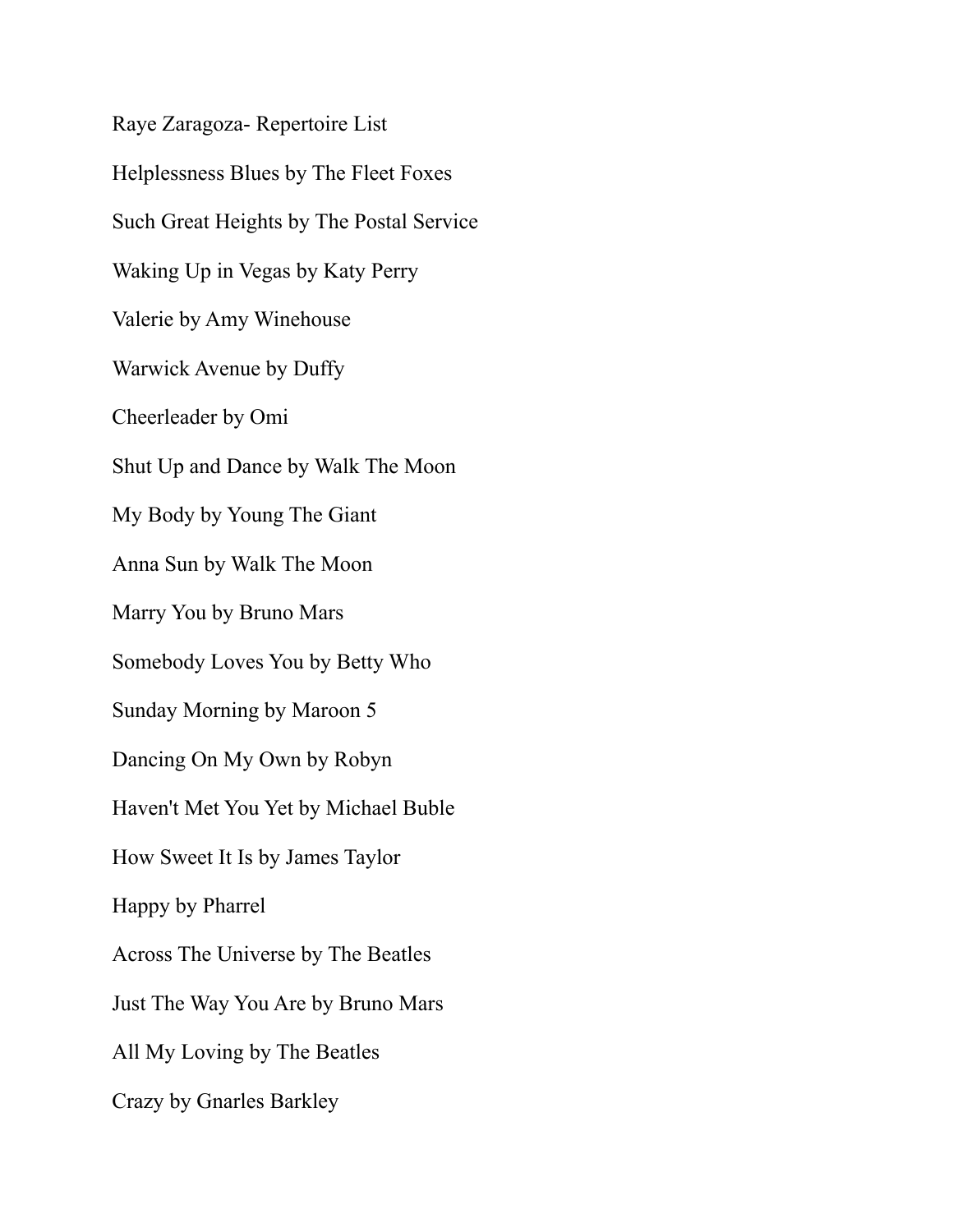Raye Zaragoza- Repertoire List Helplessness Blues by The Fleet Foxes Such Great Heights by The Postal Service Waking Up in Vegas by Katy Perry Valerie by Amy Winehouse Warwick Avenue by Duffy Cheerleader by Omi Shut Up and Dance by Walk The Moon My Body by Young The Giant Anna Sun by Walk The Moon Marry You by Bruno Mars Somebody Loves You by Betty Who Sunday Morning by Maroon 5 Dancing On My Own by Robyn Haven't Met You Yet by Michael Buble How Sweet It Is by James Taylor Happy by Pharrel Across The Universe by The Beatles Just The Way You Are by Bruno Mars All My Loving by The Beatles Crazy by Gnarles Barkley